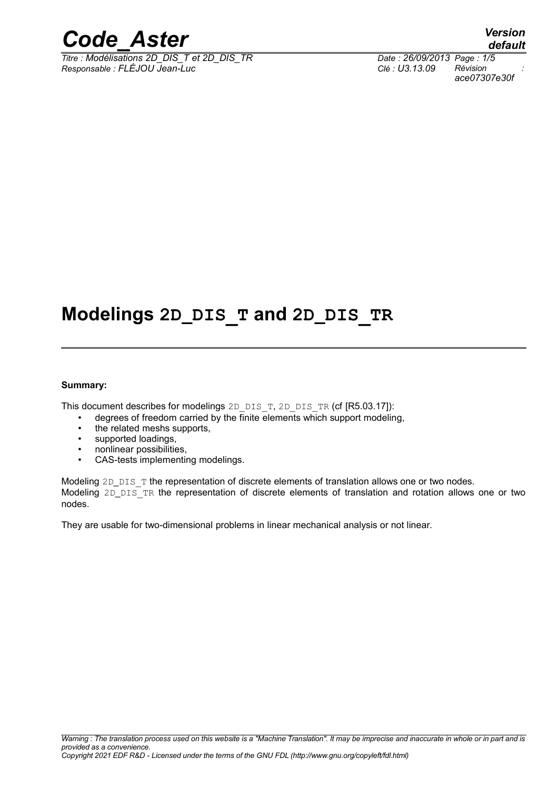

*Titre : Modélisations 2D\_DIS\_T et 2D\_DIS\_TR Date : 26/09/2013 Page : 1/5 Responsable : FLÉJOU Jean-Luc Clé : U3.13.09 Révision :*

*ace07307e30f*

## **Modelings 2D\_DIS\_T and 2D\_DIS\_TR**

#### **Summary:**

This document describes for modelings 2D\_DIS\_T, 2D\_DIS\_TR (cf [R5.03.17]):

- degrees of freedom carried by the finite elements which support modeling,
- the related meshs supports,
- supported loadings,
- nonlinear possibilities,
- CAS-tests implementing modelings.

Modeling 2D\_DIS\_T the representation of discrete elements of translation allows one or two nodes. Modeling 2D DIS TR the representation of discrete elements of translation and rotation allows one or two nodes.

They are usable for two-dimensional problems in linear mechanical analysis or not linear.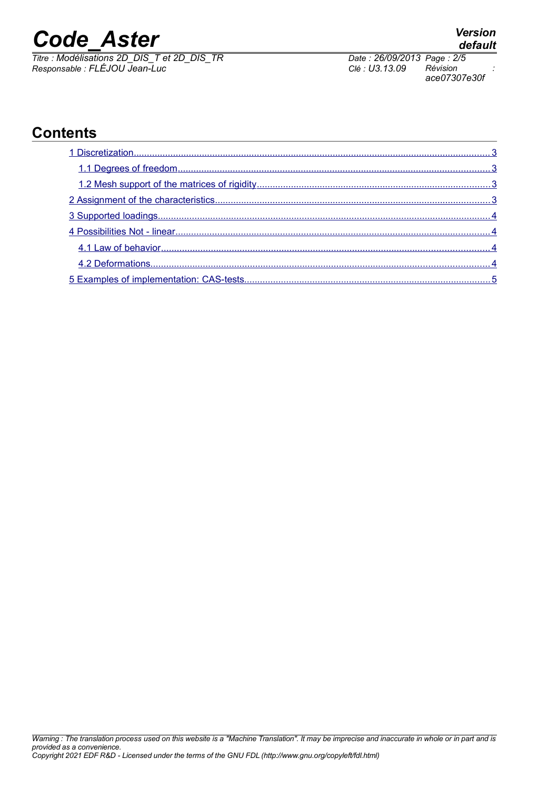*Titre : Modélisations 2D\_DIS\_T et 2D\_DIS\_TR Date : 26/09/2013 Page : 2/5 Responsable : FLÉJOU Jean-Luc Clé : U3.13.09 Révision :*

## **Contents**

*ace07307e30f*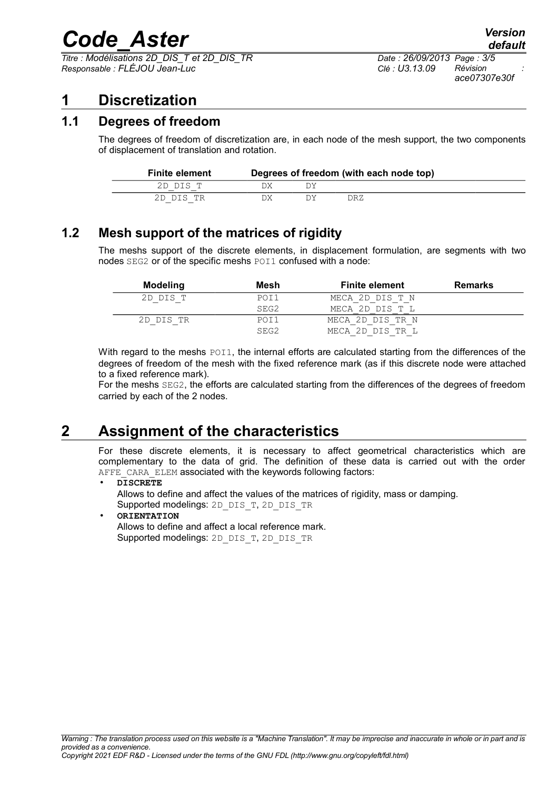*Titre : Modélisations 2D\_DIS\_T et 2D\_DIS\_TR Date : 26/09/2013 Page : 3/5 Responsable : FLÉJOU Jean-Luc Clé : U3.13.09 Révision :*

## <span id="page-2-3"></span>**1 Discretization**

### **1.1 Degrees of freedom**

<span id="page-2-2"></span>The degrees of freedom of discretization are, in each node of the mesh support, the two components of displacement of translation and rotation.

| <b>Finite element</b> | Degrees of freedom (with each node top) |  |      |  |
|-----------------------|-----------------------------------------|--|------|--|
| 2D DIS T              |                                         |  |      |  |
| 2D DIS TR             | אר                                      |  | DR Z |  |

## **1.2 Mesh support of the matrices of rigidity**

<span id="page-2-1"></span>The meshs support of the discrete elements, in displacement formulation, are segments with two nodes SEG2 or of the specific meshs POI1 confused with a node:

| Modeling  | Mesh             | <b>Finite element</b> | <b>Remarks</b> |
|-----------|------------------|-----------------------|----------------|
| 2D DIS T  | POI1             | MECA 2D DIS T N       |                |
|           | SEG2             | MECA 2D DIS T L       |                |
| 2D DIS TR | POI1             | MECA 2D DIS TR N      |                |
|           | SEG <sub>2</sub> | MECA 2D DIS TR L      |                |

With regard to the meshs POI1, the internal efforts are calculated starting from the differences of the degrees of freedom of the mesh with the fixed reference mark (as if this discrete node were attached to a fixed reference mark).

For the meshs SEG2, the efforts are calculated starting from the differences of the degrees of freedom carried by each of the 2 nodes.

## **2 Assignment of the characteristics**

<span id="page-2-0"></span>For these discrete elements, it is necessary to affect geometrical characteristics which are complementary to the data of grid. The definition of these data is carried out with the order AFFE\_CARA\_ELEM associated with the keywords following factors:

• **DISCRETE**

Allows to define and affect the values of the matrices of rigidity, mass or damping. Supported modelings: 2D\_DIS\_T, 2D\_DIS\_TR

#### • **ORIENTATION**

Allows to define and affect a local reference mark. Supported modelings: 2D\_DIS\_T, 2D\_DIS\_TR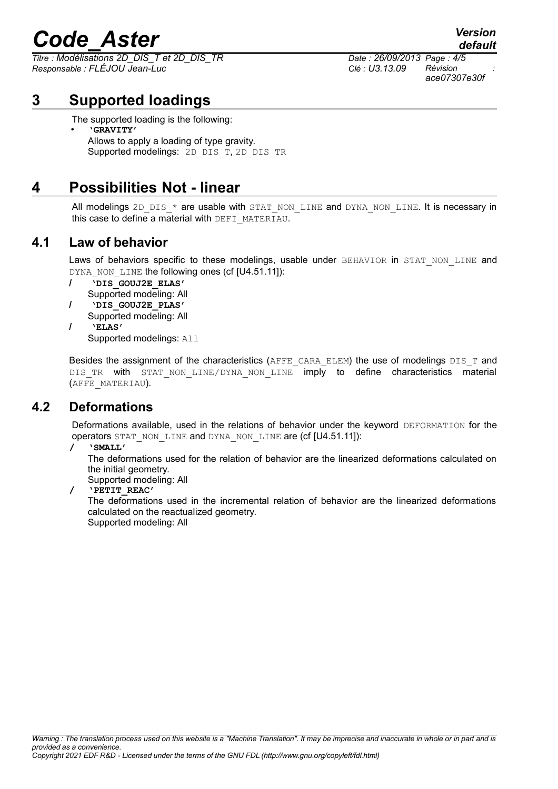*Titre : Modélisations 2D\_DIS\_T et 2D\_DIS\_TR Date : 26/09/2013 Page : 4/5 Responsable : FLÉJOU Jean-Luc Clé : U3.13.09 Révision :*

## *ace07307e30f*

*default*

**3 Supported loadings**

<span id="page-3-3"></span>The supported loading is the following:

• **'GRAVITY'** Allows to apply a loading of type gravity. Supported modelings: 2D\_DIS\_T, 2D\_DIS\_TR

## **4 Possibilities Not - linear**

<span id="page-3-2"></span>All modelings 2D\_DIS  $*$  are usable with STAT\_NON\_LINE and DYNA\_NON\_LINE. It is necessary in this case to define a material with DEFI\_MATERIAU.

### **4.1 Law of behavior**

<span id="page-3-1"></span>Laws of behaviors specific to these modelings, usable under BEHAVIOR in STAT NON LINE and DYNA\_NON\_LINE the following ones (cf [U4.51.11]):

- **/ 'DIS\_GOUJ2E\_ELAS'** Supported modeling: All **/ 'DIS\_GOUJ2E\_PLAS'** Supported modeling: All
- **/ 'ELAS'**

Supported modelings: All

Besides the assignment of the characteristics (AFFE\_CARA\_ELEM) the use of modelings DIS\_T and DIS TR with STAT\_NON\_LINE/DYNA\_NON\_LINE imply to define characteristics material (AFFE\_MATERIAU).

### **4.2 Deformations**

<span id="page-3-0"></span>Deformations available, used in the relations of behavior under the keyword DEFORMATION for the operators STAT\_NON\_LINE and DYNA\_NON\_LINE are (cf [U4.51.11]):

#### **/ 'SMALL'**

The deformations used for the relation of behavior are the linearized deformations calculated on the initial geometry.

Supported modeling: All

**/ 'PETIT\_REAC'**

The deformations used in the incremental relation of behavior are the linearized deformations calculated on the reactualized geometry. Supported modeling: All